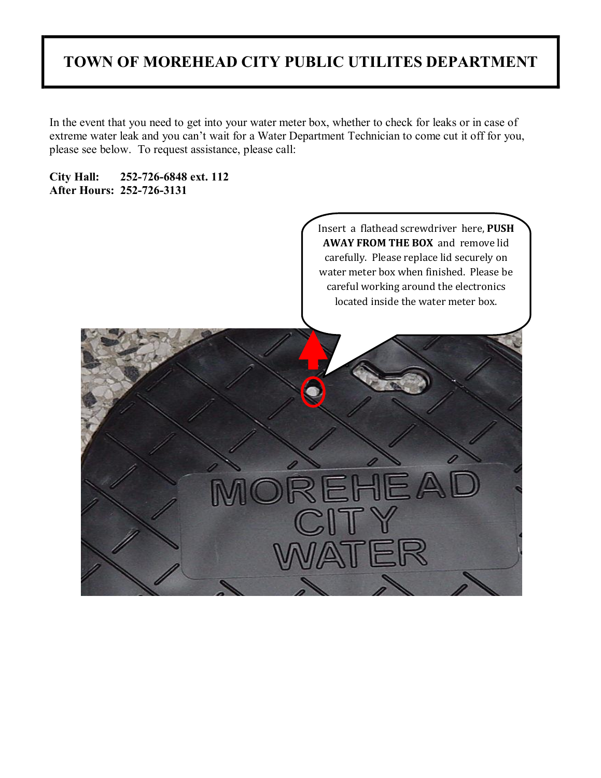# **TOWN OF MOREHEAD CITY PUBLIC UTILITES DEPARTMENT**

In the event that you need to get into your water meter box, whether to check for leaks or in case of extreme water leak and you can't wait for a Water Department Technician to come cut it off for you, please see below. To request assistance, please call:

**City Hall: 2527266848 ext. 112 After Hours: 2527263131**

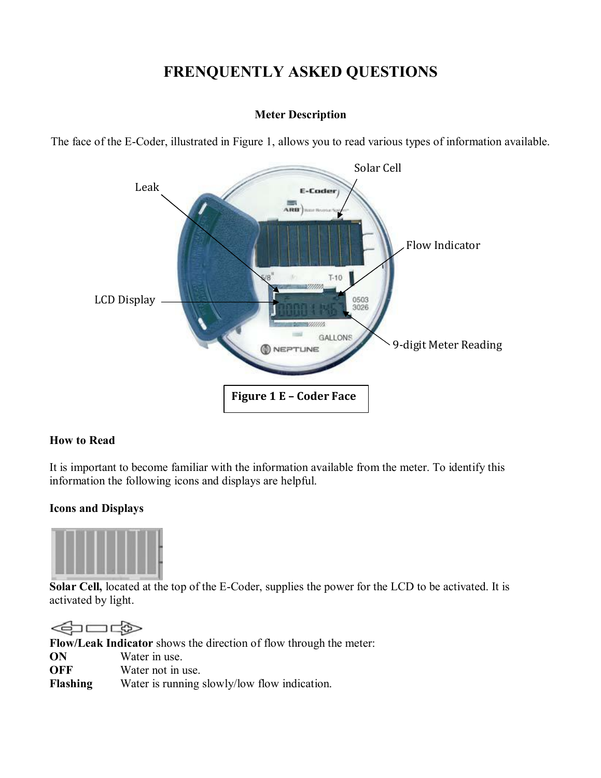# **FRENQUENTLY ASKED QUESTIONS**

#### **Meter Description**

The face of the E-Coder, illustrated in Figure 1, allows you to read various types of information available.



#### **How to Read**

It is important to become familiar with the information available from the meter. To identify this information the following icons and displays are helpful.

#### **Icons and Displays**



**Solar Cell,** located at the top of the E-Coder, supplies the power for the LCD to be activated. It is activated by light.

⋖ **Flow/Leak Indicator** shows the direction of flow through the meter: **ON** Water in use. **OFF** Water not in use. **Flashing** Water is running slowly/low flow indication.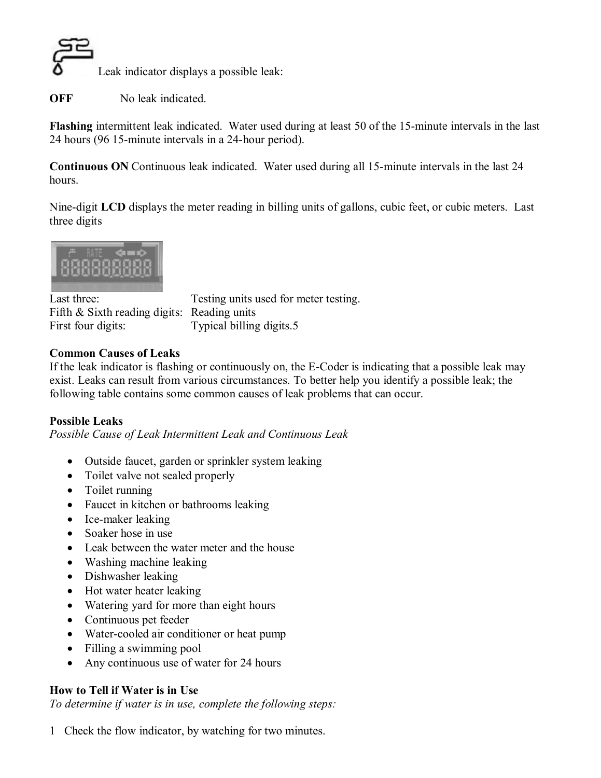

**OFF** No leak indicated.

**Flashing** intermittent leak indicated. Water used during at least 50 of the 15-minute intervals in the last 24 hours (96 15-minute intervals in a 24-hour period).

**Continuous ON** Continuous leak indicated. Water used during all 15-minute intervals in the last 24 hours.

Nine-digit **LCD** displays the meter reading in billing units of gallons, cubic feet, or cubic meters. Last three digits



Fifth & Sixth reading digits: Reading units First four digits: Typical billing digits.5

Last three: Testing units used for meter testing.

### **Common Causes of Leaks**

If the leak indicator is flashing or continuously on, the E-Coder is indicating that a possible leak may exist. Leaks can result from various circumstances. To better help you identify a possible leak; the following table contains some common causes of leak problems that can occur.

## **Possible Leaks**

*Possible Cause of Leak Intermittent Leak and Continuous Leak*

- · Outside faucet, garden or sprinkler system leaking
- Toilet valve not sealed properly
- Toilet running
- Faucet in kitchen or bathrooms leaking
- Ice-maker leaking
- Soaker hose in use
- Leak between the water meter and the house
- Washing machine leaking
- Dishwasher leaking
- Hot water heater leaking
- Watering yard for more than eight hours
- Continuous pet feeder
- Water-cooled air conditioner or heat pump
- Filling a swimming pool
- Any continuous use of water for 24 hours

## **How to Tell if Water is in Use**

*To determine if water is in use, complete the following steps:*

1 Check the flow indicator, by watching for two minutes.